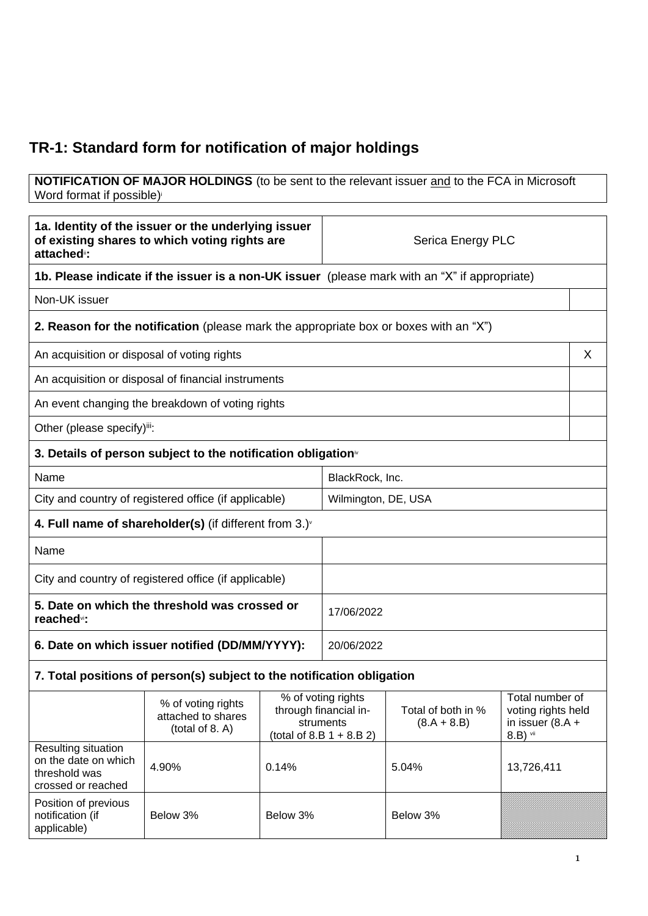## **TR-1: Standard form for notification of major holdings**

#### **NOTIFICATION OF MAJOR HOLDINGS** (to be sent to the relevant issuer and to the FCA in Microsoft Word format if possible)

| 1a. Identity of the issuer or the underlying issuer<br>of existing shares to which voting rights are<br>attached <sup>®</sup> : |                                                                                               |                                                                                                                                            | Serica Energy PLC   |                                                             |            |   |
|---------------------------------------------------------------------------------------------------------------------------------|-----------------------------------------------------------------------------------------------|--------------------------------------------------------------------------------------------------------------------------------------------|---------------------|-------------------------------------------------------------|------------|---|
|                                                                                                                                 | 1b. Please indicate if the issuer is a non-UK issuer (please mark with an "X" if appropriate) |                                                                                                                                            |                     |                                                             |            |   |
| Non-UK issuer                                                                                                                   |                                                                                               |                                                                                                                                            |                     |                                                             |            |   |
|                                                                                                                                 | 2. Reason for the notification (please mark the appropriate box or boxes with an "X")         |                                                                                                                                            |                     |                                                             |            |   |
| An acquisition or disposal of voting rights                                                                                     |                                                                                               |                                                                                                                                            |                     |                                                             |            | X |
|                                                                                                                                 | An acquisition or disposal of financial instruments                                           |                                                                                                                                            |                     |                                                             |            |   |
|                                                                                                                                 | An event changing the breakdown of voting rights                                              |                                                                                                                                            |                     |                                                             |            |   |
| Other (please specify)iii:                                                                                                      |                                                                                               |                                                                                                                                            |                     |                                                             |            |   |
|                                                                                                                                 | 3. Details of person subject to the notification obligation <sup>®</sup>                      |                                                                                                                                            |                     |                                                             |            |   |
| Name                                                                                                                            |                                                                                               |                                                                                                                                            | BlackRock, Inc.     |                                                             |            |   |
|                                                                                                                                 | City and country of registered office (if applicable)                                         |                                                                                                                                            | Wilmington, DE, USA |                                                             |            |   |
|                                                                                                                                 | 4. Full name of shareholder(s) (if different from $3.$ ) $\sqrt{ }$                           |                                                                                                                                            |                     |                                                             |            |   |
| Name                                                                                                                            |                                                                                               |                                                                                                                                            |                     |                                                             |            |   |
|                                                                                                                                 | City and country of registered office (if applicable)                                         |                                                                                                                                            |                     |                                                             |            |   |
| 5. Date on which the threshold was crossed or<br>reached <sup>vi</sup> :                                                        |                                                                                               |                                                                                                                                            | 17/06/2022          |                                                             |            |   |
| 6. Date on which issuer notified (DD/MM/YYYY):                                                                                  |                                                                                               |                                                                                                                                            | 20/06/2022          |                                                             |            |   |
| 7. Total positions of person(s) subject to the notification obligation                                                          |                                                                                               |                                                                                                                                            |                     |                                                             |            |   |
|                                                                                                                                 | % of voting rights<br>attached to shares<br>(total of 8. A)                                   | % of voting rights<br>through financial in-<br>Total of both in %<br>struments<br>$(8.A + 8.B)$<br>(total of 8.B $1 + 8.B 2$ )<br>8.B) vii |                     | Total number of<br>voting rights held<br>in issuer $(8.A +$ |            |   |
| Resulting situation<br>on the date on which<br>threshold was<br>crossed or reached                                              | 4.90%                                                                                         | 0.14%                                                                                                                                      |                     | 5.04%                                                       | 13,726,411 |   |
| Position of previous<br>notification (if<br>applicable)                                                                         | Below 3%                                                                                      | Below 3%                                                                                                                                   |                     | Below 3%                                                    |            |   |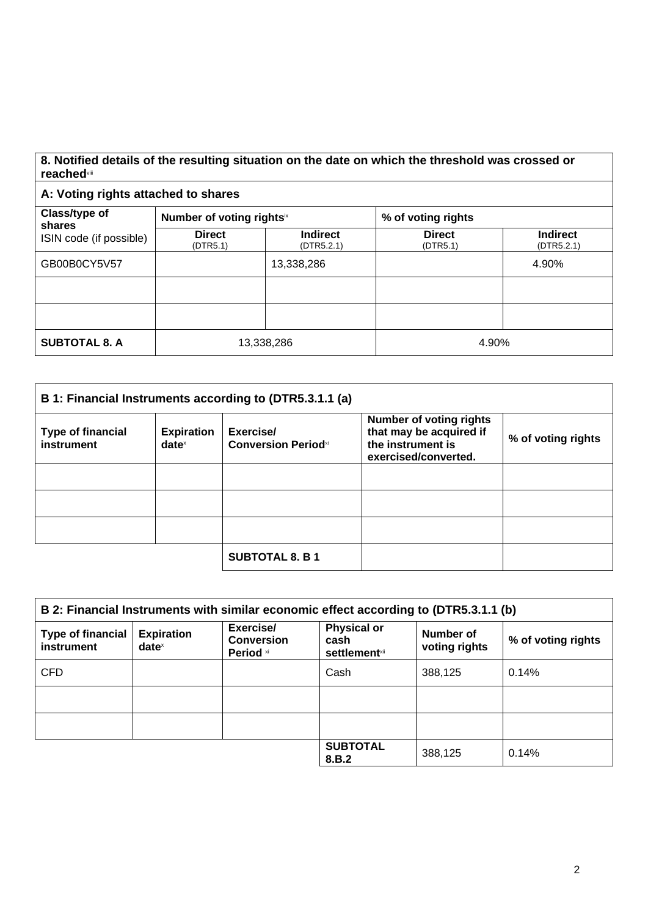#### **8. Notified details of the resulting situation on the date on which the threshold was crossed or reached**viii

### **A: Voting rights attached to shares**

| Class/type of<br>shares<br>ISIN code (if possible) | Number of voting rightsix |                               | % of voting rights        |                               |
|----------------------------------------------------|---------------------------|-------------------------------|---------------------------|-------------------------------|
|                                                    | <b>Direct</b><br>(DTR5.1) | <b>Indirect</b><br>(DTR5.2.1) | <b>Direct</b><br>(DTR5.1) | <b>Indirect</b><br>(DTR5.2.1) |
| GB00B0CY5V57                                       |                           | 13,338,286                    |                           | 4.90%                         |
|                                                    |                           |                               |                           |                               |
|                                                    |                           |                               |                           |                               |
| <b>SUBTOTAL 8. A</b>                               |                           | 13,338,286                    | 4.90%                     |                               |

| B 1: Financial Instruments according to (DTR5.3.1.1 (a) |                                        |                                         |                                                                                                        |                    |
|---------------------------------------------------------|----------------------------------------|-----------------------------------------|--------------------------------------------------------------------------------------------------------|--------------------|
| <b>Type of financial</b><br>instrument                  | <b>Expiration</b><br>date <sup>x</sup> | Exercise/<br><b>Conversion Periodxi</b> | <b>Number of voting rights</b><br>that may be acquired if<br>the instrument is<br>exercised/converted. | % of voting rights |
|                                                         |                                        |                                         |                                                                                                        |                    |
|                                                         |                                        |                                         |                                                                                                        |                    |
|                                                         |                                        |                                         |                                                                                                        |                    |
|                                                         |                                        | <b>SUBTOTAL 8. B 1</b>                  |                                                                                                        |                    |

| B 2: Financial Instruments with similar economic effect according to (DTR5.3.1.1 (b) |                                      |                                             |                                                     |                            |                    |
|--------------------------------------------------------------------------------------|--------------------------------------|---------------------------------------------|-----------------------------------------------------|----------------------------|--------------------|
| <b>Type of financial</b><br>instrument                                               | <b>Expiration</b><br>$date^{\times}$ | Exercise/<br><b>Conversion</b><br>Period xi | <b>Physical or</b><br>cash<br><b>settlement</b> xii | Number of<br>voting rights | % of voting rights |
| <b>CFD</b>                                                                           |                                      |                                             | Cash                                                | 388,125                    | 0.14%              |
|                                                                                      |                                      |                                             |                                                     |                            |                    |
|                                                                                      |                                      |                                             |                                                     |                            |                    |
|                                                                                      |                                      |                                             | <b>SUBTOTAL</b><br>8.B.2                            | 388,125                    | 0.14%              |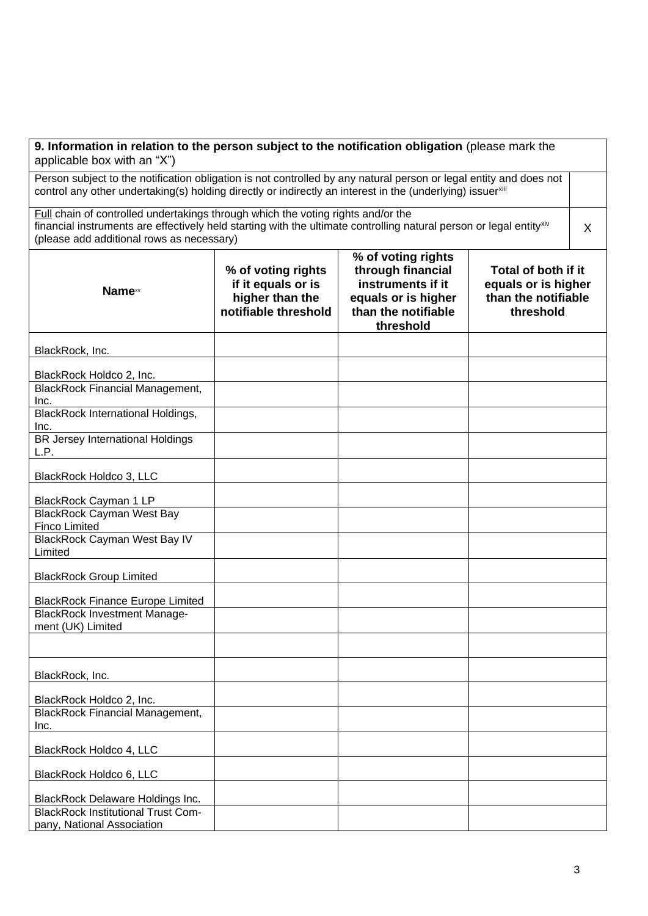| 9. Information in relation to the person subject to the notification obligation (please mark the<br>applicable box with an "X")                                                                                                   |                                                                                                                                                                                                                                                      |                                                                                                                         |                                                                                |  |
|-----------------------------------------------------------------------------------------------------------------------------------------------------------------------------------------------------------------------------------|------------------------------------------------------------------------------------------------------------------------------------------------------------------------------------------------------------------------------------------------------|-------------------------------------------------------------------------------------------------------------------------|--------------------------------------------------------------------------------|--|
| Person subject to the notification obligation is not controlled by any natural person or legal entity and does not<br>control any other undertaking(s) holding directly or indirectly an interest in the (underlying) issuerxilli |                                                                                                                                                                                                                                                      |                                                                                                                         |                                                                                |  |
|                                                                                                                                                                                                                                   | Full chain of controlled undertakings through which the voting rights and/or the<br>financial instruments are effectively held starting with the ultimate controlling natural person or legal entityxiv<br>(please add additional rows as necessary) |                                                                                                                         |                                                                                |  |
| <b>Name</b> xv                                                                                                                                                                                                                    | % of voting rights<br>if it equals or is<br>higher than the<br>notifiable threshold                                                                                                                                                                  | % of voting rights<br>through financial<br>instruments if it<br>equals or is higher<br>than the notifiable<br>threshold | Total of both if it<br>equals or is higher<br>than the notifiable<br>threshold |  |
| BlackRock, Inc.                                                                                                                                                                                                                   |                                                                                                                                                                                                                                                      |                                                                                                                         |                                                                                |  |
| BlackRock Holdco 2, Inc.                                                                                                                                                                                                          |                                                                                                                                                                                                                                                      |                                                                                                                         |                                                                                |  |
| <b>BlackRock Financial Management,</b><br>Inc.                                                                                                                                                                                    |                                                                                                                                                                                                                                                      |                                                                                                                         |                                                                                |  |
| <b>BlackRock International Holdings,</b><br>Inc.                                                                                                                                                                                  |                                                                                                                                                                                                                                                      |                                                                                                                         |                                                                                |  |
| BR Jersey International Holdings<br>L.P.                                                                                                                                                                                          |                                                                                                                                                                                                                                                      |                                                                                                                         |                                                                                |  |
| BlackRock Holdco 3, LLC                                                                                                                                                                                                           |                                                                                                                                                                                                                                                      |                                                                                                                         |                                                                                |  |
| BlackRock Cayman 1 LP                                                                                                                                                                                                             |                                                                                                                                                                                                                                                      |                                                                                                                         |                                                                                |  |
| <b>BlackRock Cayman West Bay</b><br><b>Finco Limited</b>                                                                                                                                                                          |                                                                                                                                                                                                                                                      |                                                                                                                         |                                                                                |  |
| BlackRock Cayman West Bay IV<br>Limited                                                                                                                                                                                           |                                                                                                                                                                                                                                                      |                                                                                                                         |                                                                                |  |
| <b>BlackRock Group Limited</b>                                                                                                                                                                                                    |                                                                                                                                                                                                                                                      |                                                                                                                         |                                                                                |  |
| <b>BlackRock Finance Europe Limited</b>                                                                                                                                                                                           |                                                                                                                                                                                                                                                      |                                                                                                                         |                                                                                |  |
| <b>BlackRock Investment Manage-</b><br>ment (UK) Limited                                                                                                                                                                          |                                                                                                                                                                                                                                                      |                                                                                                                         |                                                                                |  |
|                                                                                                                                                                                                                                   |                                                                                                                                                                                                                                                      |                                                                                                                         |                                                                                |  |
| BlackRock, Inc.                                                                                                                                                                                                                   |                                                                                                                                                                                                                                                      |                                                                                                                         |                                                                                |  |
| BlackRock Holdco 2, Inc.                                                                                                                                                                                                          |                                                                                                                                                                                                                                                      |                                                                                                                         |                                                                                |  |
| <b>BlackRock Financial Management,</b><br>Inc.                                                                                                                                                                                    |                                                                                                                                                                                                                                                      |                                                                                                                         |                                                                                |  |
| BlackRock Holdco 4, LLC                                                                                                                                                                                                           |                                                                                                                                                                                                                                                      |                                                                                                                         |                                                                                |  |
| BlackRock Holdco 6, LLC                                                                                                                                                                                                           |                                                                                                                                                                                                                                                      |                                                                                                                         |                                                                                |  |
| <b>BlackRock Delaware Holdings Inc.</b>                                                                                                                                                                                           |                                                                                                                                                                                                                                                      |                                                                                                                         |                                                                                |  |
| <b>BlackRock Institutional Trust Com-</b><br>pany, National Association                                                                                                                                                           |                                                                                                                                                                                                                                                      |                                                                                                                         |                                                                                |  |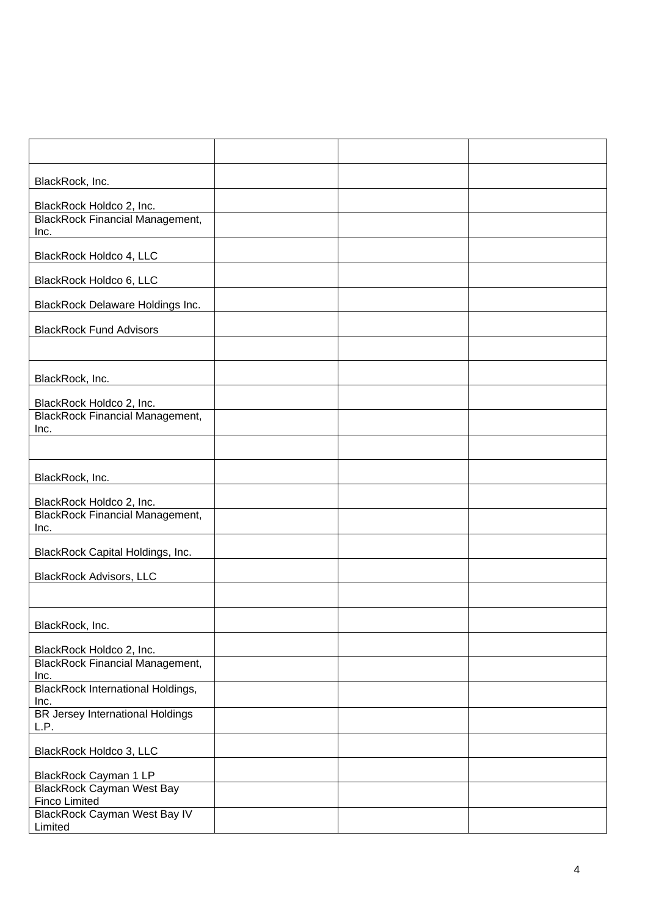| BlackRock, Inc.                                          |  |  |
|----------------------------------------------------------|--|--|
| BlackRock Holdco 2, Inc.                                 |  |  |
| <b>BlackRock Financial Management,</b><br>Inc.           |  |  |
| BlackRock Holdco 4, LLC                                  |  |  |
| BlackRock Holdco 6, LLC                                  |  |  |
| <b>BlackRock Delaware Holdings Inc.</b>                  |  |  |
| <b>BlackRock Fund Advisors</b>                           |  |  |
|                                                          |  |  |
| BlackRock, Inc.                                          |  |  |
| BlackRock Holdco 2, Inc.                                 |  |  |
| <b>BlackRock Financial Management,</b><br>Inc.           |  |  |
|                                                          |  |  |
| BlackRock, Inc.                                          |  |  |
| BlackRock Holdco 2, Inc.                                 |  |  |
| <b>BlackRock Financial Management,</b><br>Inc.           |  |  |
| BlackRock Capital Holdings, Inc.                         |  |  |
| <b>BlackRock Advisors, LLC</b>                           |  |  |
|                                                          |  |  |
| BlackRock, Inc.                                          |  |  |
| BlackRock Holdco 2, Inc.                                 |  |  |
| <b>BlackRock Financial Management,</b><br>Inc.           |  |  |
| <b>BlackRock International Holdings,</b><br>Inc.         |  |  |
| <b>BR Jersey International Holdings</b><br>L.P.          |  |  |
| BlackRock Holdco 3, LLC                                  |  |  |
| BlackRock Cayman 1 LP                                    |  |  |
| <b>BlackRock Cayman West Bay</b><br><b>Finco Limited</b> |  |  |
| <b>BlackRock Cayman West Bay IV</b><br>Limited           |  |  |